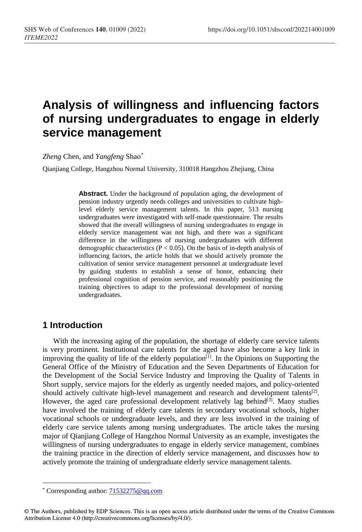# **Analysis of willingness and influencing factors of nursing undergraduates to engage in elderly service management**

*Zheng* Chen, and *Yangfeng* Shao[\\*](#page-0-0)

Qianjiang College, Hangzhou Normal University, 310018 Hangzhou Zhejiang, China

**Abstract.** Under the background of population aging, the development of pension industry urgently needs colleges and universities to cultivate highlevel elderly service management talents. In this paper, 513 nursing undergraduates were investigated with self-made questionnaire. The results showed that the overall willingness of nursing undergraduates to engage in elderly service management was not high, and there was a significant difference in the willingness of nursing undergraduates with different demographic characteristics ( $P < 0.05$ ). On the basis of in-depth analysis of influencing factors, the article holds that we should actively promote the cultivation of senior service management personnel at undergraduate level by guiding students to establish a sense of honor, enhancing their professional cognition of pension service, and reasonably positioning the training objectives to adapt to the professional development of nursing undergraduates.

### **1 Introduction**

With the increasing aging of the population, the shortage of elderly care service talents is very prominent. Institutional care talents for the aged have also become a key link in improving the quality of life of the elderly population $\tilde{I}^{[1]}$ . In the Opinions on Supporting the General Office of the Ministry of Education and the Seven Departments of Education for the Development of the Social Service Industry and Improving the Quality of Talents in Short supply, service majors for the elderly as urgently needed majors, and policy-oriented should actively cultivate high-level management and research and development talents<sup>[2]</sup>. However, the aged care professional development relatively lag behind $[3]$ . Many studies have involved the training of elderly care talents in secondary vocational schools, higher vocational schools or undergraduate levels, and they are less involved in the training of elderly care service talents among nursing undergraduates. The article takes the nursing major of Qianjiang College of Hangzhou Normal University as an example, investigates the willingness of nursing undergraduates to engage in elderly service management, combines the training practice in the direction of elderly service management, and discusses how to actively promote the training of undergraduate elderly service management talents.

 $\overline{a}$ \* Corresponding author: [71532275@qq.com](mailto:71532275@qq.com)

<span id="page-0-0"></span><sup>©</sup> The Authors, published by EDP Sciences. This is an open access article distributed under the terms of the Creative Commons Attribution License 4.0 (http://creativecommons.org/licenses/by/4.0/).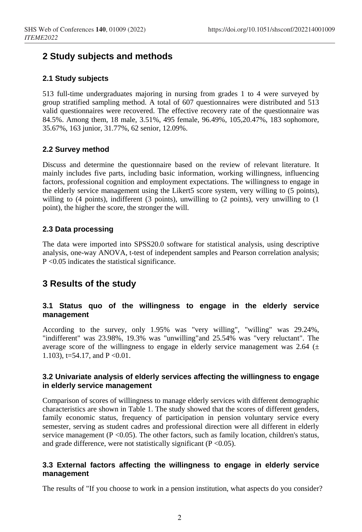### **2 Study subjects and methods**

#### **2.1 Study subjects**

513 full-time undergraduates majoring in nursing from grades 1 to 4 were surveyed by group stratified sampling method. A total of 607 questionnaires were distributed and 513 valid questionnaires were recovered. The effective recovery rate of the questionnaire was 84.5%. Among them, 18 male, 3.51%, 495 female, 96.49%, 105,20.47%, 183 sophomore, 35.67%, 163 junior, 31.77%, 62 senior, 12.09%.

#### **2.2 Survey method**

Discuss and determine the questionnaire based on the review of relevant literature. It mainly includes five parts, including basic information, working willingness, influencing factors, professional cognition and employment expectations. The willingness to engage in the elderly service management using the Likert5 score system, very willing to (5 points), willing to (4 points), indifferent (3 points), unwilling to (2 points), very unwilling to (1 point), the higher the score, the stronger the will.

#### **2.3 Data processing**

The data were imported into SPSS20.0 software for statistical analysis, using descriptive analysis, one-way ANOVA, t-test of independent samples and Pearson correlation analysis; P <0.05 indicates the statistical significance.

### **3 Results of the study**

#### **3.1 Status quo of the willingness to engage in the elderly service management**

According to the survey, only 1.95% was "very willing", "willing" was 29.24%, "indifferent" was 23.98%, 19.3% was "unwilling"and 25.54% was "very reluctant". The average score of the willingness to engage in elderly service management was 2.64  $(±$ 1.103), t=54.17, and P <0.01.

#### **3.2 Univariate analysis of elderly services affecting the willingness to engage in elderly service management**

Comparison of scores of willingness to manage elderly services with different demographic characteristics are shown in Table 1. The study showed that the scores of different genders, family economic status, frequency of participation in pension voluntary service every semester, serving as student cadres and professional direction were all different in elderly service management ( $P \le 0.05$ ). The other factors, such as family location, children's status, and grade difference, were not statistically significant ( $P \le 0.05$ ).

#### **3.3 External factors affecting the willingness to engage in elderly service management**

The results of "If you choose to work in a pension institution, what aspects do you consider?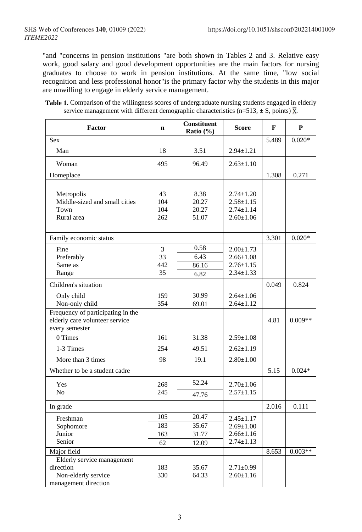"and "concerns in pension institutions "are both shown in Tables 2 and 3. Relative easy work, good salary and good development opportunities are the main factors for nursing graduates to choose to work in pension institutions. At the same time, "low social recognition and less professional honor"is the primary factor why the students in this major are unwilling to engage in elderly service management.

Table 1. Comparison of the willingness scores of undergraduate nursing students engaged in elderly service management with different demographic characteristics (n=513,  $\pm$  S, points)  $\overline{X}$ .

| Factor                                                                                        | $\mathbf n$             | Constituent<br>Ratio (%)        | <b>Score</b>                                                             | F     | P         |
|-----------------------------------------------------------------------------------------------|-------------------------|---------------------------------|--------------------------------------------------------------------------|-------|-----------|
| <b>Sex</b>                                                                                    |                         |                                 |                                                                          | 5.489 | $0.020*$  |
| Man                                                                                           | 18                      | 3.51                            | $2.94 \pm 1.21$                                                          |       |           |
| Woman                                                                                         | 495                     | 96.49                           | $2.63 \pm 1.10$                                                          |       |           |
| Homeplace                                                                                     |                         |                                 |                                                                          | 1.308 | 0.271     |
| Metropolis<br>Middle-sized and small cities<br>Town<br>Rural area                             | 43<br>104<br>104<br>262 | 8.38<br>20.27<br>20.27<br>51.07 | $2.74 \pm 1.20$<br>$2.58 \pm 1.15$<br>$2.74 \pm 1.14$<br>$2.60 \pm 1.06$ |       |           |
| Family economic status                                                                        |                         |                                 |                                                                          | 3.301 | $0.020*$  |
| Fine<br>Preferably<br>Same as<br>Range                                                        | 3<br>33<br>442<br>35    | 0.58<br>6.43<br>86.16<br>6.82   | $2.00 \pm 1.73$<br>$2.66 \pm 1.08$<br>$2.76 \pm 1.15$<br>$2.34 \pm 1.33$ |       |           |
| Children's situation                                                                          |                         |                                 |                                                                          | 0.049 | 0.824     |
| Only child<br>Non-only child                                                                  | 159<br>354              | 30.99<br>69.01                  | $2.64 \pm 1.06$<br>$2.64 \pm 1.12$                                       |       |           |
| Frequency of participating in the<br>elderly care volunteer service<br>every semester         |                         |                                 |                                                                          | 4.81  | $0.009**$ |
| 0 Times                                                                                       | 161                     | 31.38                           | $2.59 \pm 1.08$                                                          |       |           |
| 1-3 Times                                                                                     | 254                     | 49.51                           | $2.62 \pm 1.19$                                                          |       |           |
| More than 3 times                                                                             | 98                      | 19.1                            | $2.80 \pm 1.00$                                                          |       |           |
| Whether to be a student cadre                                                                 |                         |                                 |                                                                          | 5.15  | $0.024*$  |
| Yes                                                                                           | 268                     | 52.24                           | $2.70 \pm 1.06$                                                          |       |           |
| N <sub>0</sub>                                                                                | 245                     | 47.76                           | $2.57 \pm 1.15$                                                          |       |           |
| In grade                                                                                      |                         |                                 |                                                                          | 2.016 | 0.111     |
| Freshman                                                                                      | 105                     | 20.47                           | $2.45 \pm 1.17$                                                          |       |           |
| Sophomore                                                                                     | 183                     | 35.67                           | $2.69 \pm 1.00$                                                          |       |           |
| Junior                                                                                        | 163                     | 31.77                           | $2.66 \pm 1.16$                                                          |       |           |
| Senior                                                                                        | 62                      | 12.09                           | $2.74 \pm 1.13$                                                          |       |           |
| Major field                                                                                   |                         |                                 |                                                                          | 8.653 | $0.003**$ |
| <b>Elderly service management</b><br>direction<br>Non-elderly service<br>management direction | 183<br>330              | 35.67<br>64.33                  | $2.71 \pm 0.99$<br>$2.60 \pm 1.16$                                       |       |           |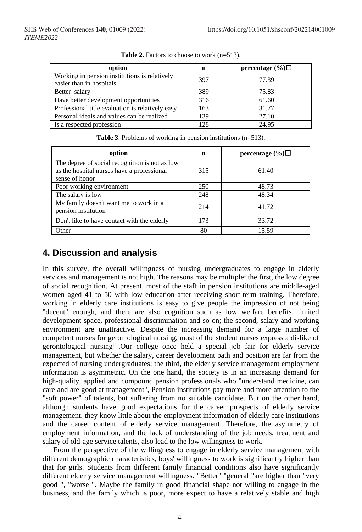| option                                                                    | n   | percentage $(\%)\Box$ |
|---------------------------------------------------------------------------|-----|-----------------------|
| Working in pension institutions is relatively<br>easier than in hospitals | 397 | 77.39                 |
| Better salary                                                             | 389 | 75.83                 |
| Have better development opportunities                                     | 316 | 61.60                 |
| Professional title evaluation is relatively easy                          | 163 | 31.77                 |
| Personal ideals and values can be realized                                | 139 | 27.10                 |
| Is a respected profession                                                 | 128 | 24.95                 |

**Table 2.** Factors to choose to work (n=513).

| option                                                                                                         | n   | percentage $(\%)\Box$ |
|----------------------------------------------------------------------------------------------------------------|-----|-----------------------|
| The degree of social recognition is not as low<br>as the hospital nurses have a professional<br>sense of honor | 315 | 61.40                 |
| Poor working environment                                                                                       | 250 | 48.73                 |
| The salary is low                                                                                              | 248 | 48.34                 |
| My family doesn't want me to work in a<br>pension institution                                                  | 214 | 41.72                 |
| Don't like to have contact with the elderly                                                                    | 173 | 33.72                 |
| Other                                                                                                          | 80  | 15.59                 |

**Table 3**. Problems of working in pension institutions (n=513).

# **4. Discussion and analysis**

In this survey, the overall willingness of nursing undergraduates to engage in elderly services and management is not high. The reasons may be multiple: the first, the low degree of social recognition. At present, most of the staff in pension institutions are middle-aged women aged 41 to 50 with low education after receiving short-term training. Therefore, working in elderly care institutions is easy to give people the impression of not being "decent" enough, and there are also cognition such as low welfare benefits, limited development space, professional discrimination and so on; the second, salary and working environment are unattractive. Despite the increasing demand for a large number of competent nurses for gerontological nursing, most of the student nurses express a dislike of gerontological nursing[4].Our college once held a special job fair for elderly service management, but whether the salary, career development path and position are far from the expected of nursing undergraduates; the third, the elderly service management employment information is asymmetric. On the one hand, the society is in an increasing demand for high-quality, applied and compound pension professionals who "understand medicine, can care and are good at management", Pension institutions pay more and more attention to the "soft power" of talents, but suffering from no suitable candidate. But on the other hand, although students have good expectations for the career prospects of elderly service management, they know little about the employment information of elderly care institutions and the career content of elderly service management. Therefore, the asymmetry of employment information, and the lack of understanding of the job needs, treatment and salary of old-age service talents, also lead to the low willingness to work.

From the perspective of the willingness to engage in elderly service management with different demographic characteristics, boys' willingness to work is significantly higher than that for girls. Students from different family financial conditions also have significantly different elderly service management willingness. "Better" "general "are higher than "very good ", "worse ". Maybe the family in good financial shape not willing to engage in the business, and the family which is poor, more expect to have a relatively stable and high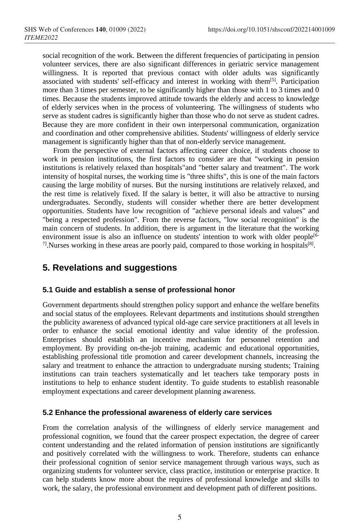social recognition of the work. Between the different frequencies of participating in pension volunteer services, there are also significant differences in geriatric service management willingness. It is reported that previous contact with older adults was significantly associated with students' self-efficacy and interest in working with them<sup>[5]</sup>. Participation more than 3 times per semester, to be significantly higher than those with 1 to 3 times and 0 times. Because the students improved attitude towards the elderly and access to knowledge of elderly services when in the process of volunteering. The willingness of students who serve as student cadres is significantly higher than those who do not serve as student cadres. Because they are more confident in their own interpersonal communication, organization and coordination and other comprehensive abilities. Students' willingness of elderly service management is significantly higher than that of non-elderly service management.

From the perspective of external factors affecting career choice, if students choose to work in pension institutions, the first factors to consider are that "working in pension institutions is relatively relaxed than hospitals"and "better salary and treatment". The work intensity of hospital nurses, the working time is "three shifts", this is one of the main factors causing the large mobility of nurses. But the nursing institutions are relatively relaxed, and the rest time is relatively fixed. If the salary is better, it will also be attractive to nursing undergraduates. Secondly, students will consider whether there are better development opportunities. Students have low recognition of "achieve personal ideals and values" and "being a respected profession". From the reverse factors, "low social recognition" is the main concern of students. In addition, there is argument in the literature that the working environment issue is also an influence on students' intention to work with older people<sup>[6-1</sup>]  $7!$ . Nurses working in these areas are poorly paid, compared to those working in hospitals<sup>[8]</sup>.

### **5. Revelations and suggestions**

#### **5.1 Guide and establish a sense of professional honor**

Government departments should strengthen policy support and enhance the welfare benefits and social status of the employees. Relevant departments and institutions should strengthen the publicity awareness of advanced typical old-age care service practitioners at all levels in order to enhance the social emotional identity and value identity of the profession. Enterprises should establish an incentive mechanism for personnel retention and employment. By providing on-the-job training, academic and educational opportunities, establishing professional title promotion and career development channels, increasing the salary and treatment to enhance the attraction to undergraduate nursing students; Training institutions can train teachers systematically and let teachers take temporary posts in institutions to help to enhance student identity. To guide students to establish reasonable employment expectations and career development planning awareness.

#### **5.2 Enhance the professional awareness of elderly care services**

From the correlation analysis of the willingness of elderly service management and professional cognition, we found that the career prospect expectation, the degree of career content understanding and the related information of pension institutions are significantly and positively correlated with the willingness to work. Therefore, students can enhance their professional cognition of senior service management through various ways, such as organizing students for volunteer service, class practice, institution or enterprise practice. It can help students know more about the requires of professional knowledge and skills to work, the salary, the professional environment and development path of different positions.